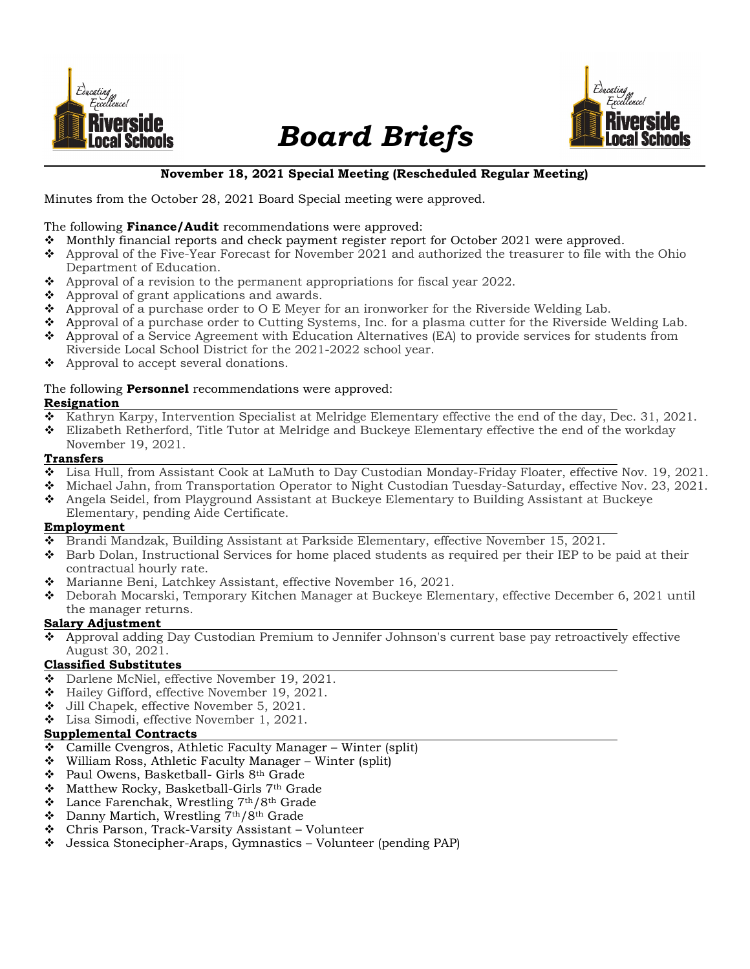

# Board Briefs



### November 18, 2021 Special Meeting (Rescheduled Regular Meeting)

Minutes from the October 28, 2021 Board Special meeting were approved.

#### The following **Finance/Audit** recommendations were approved:

- \* Monthly financial reports and check payment register report for October 2021 were approved.
- Approval of the Five-Year Forecast for November 2021 and authorized the treasurer to file with the Ohio Department of Education.
- $\bullet$  Approval of a revision to the permanent appropriations for fiscal year 2022.
- $\triangleleft$  Approval of grant applications and awards.
- $\bullet$  Approval of a purchase order to O E Meyer for an ironworker for the Riverside Welding Lab.
- Approval of a purchase order to Cutting Systems, Inc. for a plasma cutter for the Riverside Welding Lab.
- Approval of a Service Agreement with Education Alternatives (EA) to provide services for students from Riverside Local School District for the 2021-2022 school year.
- $\triangle$  Approval to accept several donations.

#### The following **Personnel** recommendations were approved:

#### Resignation

- $\bullet$  Kathryn Karpy, Intervention Specialist at Melridge Elementary effective the end of the day, Dec. 31, 2021.
- Elizabeth Retherford, Title Tutor at Melridge and Buckeye Elementary effective the end of the workday November 19, 2021.
- Transfers

# Lisa Hull, from Assistant Cook at LaMuth to Day Custodian Monday-Friday Floater, effective Nov. 19, 2021.

- Michael Jahn, from Transportation Operator to Night Custodian Tuesday-Saturday, effective Nov. 23, 2021.
- Angela Seidel, from Playground Assistant at Buckeye Elementary to Building Assistant at Buckeye Elementary, pending Aide Certificate.

#### Employment

- Brandi Mandzak, Building Assistant at Parkside Elementary, effective November 15, 2021.
- ◆ Barb Dolan, Instructional Services for home placed students as required per their IEP to be paid at their contractual hourly rate.
- Marianne Beni, Latchkey Assistant, effective November 16, 2021.
- Deborah Mocarski, Temporary Kitchen Manager at Buckeye Elementary, effective December 6, 2021 until the manager returns.

### Salary Adjustment

 Approval adding Day Custodian Premium to Jennifer Johnson's current base pay retroactively effective August 30, 2021.

### Classified Substitutes

- $\bullet$  Darlene McNiel, effective November 19, 2021.
- Hailey Gifford, effective November 19, 2021.
- Jill Chapek, effective November 5, 2021.
- Lisa Simodi, effective November 1, 2021.

### Supplemental Contracts

- $\div$  Camille Cvengros, Athletic Faculty Manager Winter (split)
- William Ross, Athletic Faculty Manager Winter (split)
- ❖ Paul Owens, Basketball- Girls 8<sup>th</sup> Grade
- Matthew Rocky, Basketball-Girls 7th Grade
- $\cdot$  Lance Farenchak, Wrestling 7<sup>th</sup>/8<sup>th</sup> Grade
- $\bullet$  Danny Martich, Wrestling 7<sup>th</sup>/8<sup>th</sup> Grade
- Chris Parson, Track-Varsity Assistant Volunteer
- Jessica Stonecipher-Araps, Gymnastics Volunteer (pending PAP)